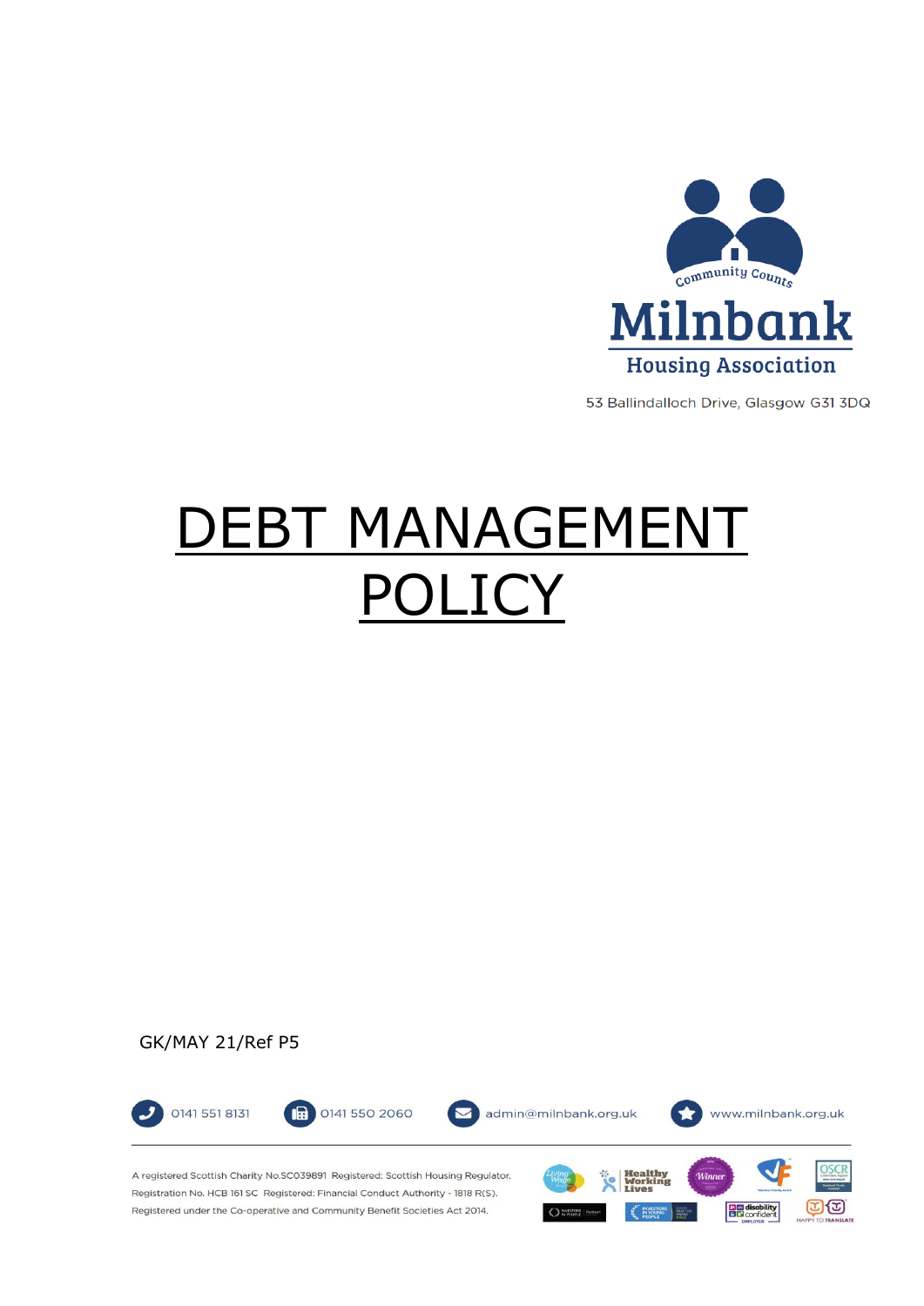

53 Ballindalloch Drive, Glasgow G31 3DQ

 $CD$ 

**DE disability**<br> **BE** confident

# **EBT MANAGEMENT** OL IC'

# GK/MAY 21/Ref P5



 $O<sub>N</sub>$  NYESTOR

Registration No. HCB 161 SC Registered: Financial Conduct Authority - 1818 R(S). Registered under the Co-operative and Community Benefit Societies Act 2014.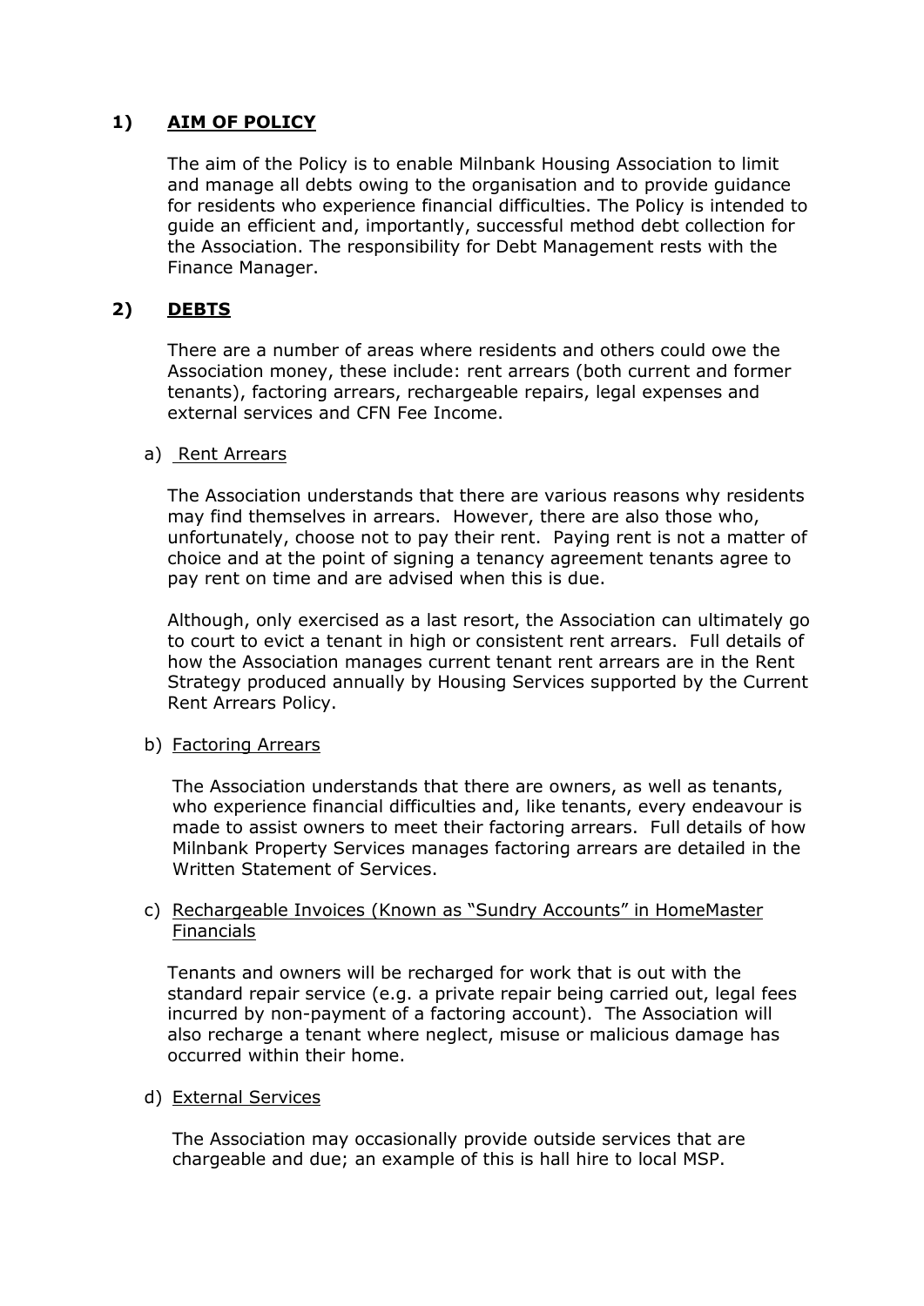# **1) AIM OF POLICY**

The aim of the Policy is to enable Milnbank Housing Association to limit and manage all debts owing to the organisation and to provide guidance for residents who experience financial difficulties. The Policy is intended to guide an efficient and, importantly, successful method debt collection for the Association. The responsibility for Debt Management rests with the Finance Manager.

# **2) DEBTS**

There are a number of areas where residents and others could owe the Association money, these include: rent arrears (both current and former tenants), factoring arrears, rechargeable repairs, legal expenses and external services and CFN Fee Income.

#### a) Rent Arrears

The Association understands that there are various reasons why residents may find themselves in arrears. However, there are also those who, unfortunately, choose not to pay their rent. Paying rent is not a matter of choice and at the point of signing a tenancy agreement tenants agree to pay rent on time and are advised when this is due.

Although, only exercised as a last resort, the Association can ultimately go to court to evict a tenant in high or consistent rent arrears. Full details of how the Association manages current tenant rent arrears are in the Rent Strategy produced annually by Housing Services supported by the Current Rent Arrears Policy.

# b) Factoring Arrears

The Association understands that there are owners, as well as tenants, who experience financial difficulties and, like tenants, every endeavour is made to assist owners to meet their factoring arrears. Full details of how Milnbank Property Services manages factoring arrears are detailed in the Written Statement of Services.

## c) Rechargeable Invoices (Known as "Sundry Accounts" in HomeMaster Financials

Tenants and owners will be recharged for work that is out with the standard repair service (e.g. a private repair being carried out, legal fees incurred by non-payment of a factoring account). The Association will also recharge a tenant where neglect, misuse or malicious damage has occurred within their home.

#### d) External Services

The Association may occasionally provide outside services that are chargeable and due; an example of this is hall hire to local MSP.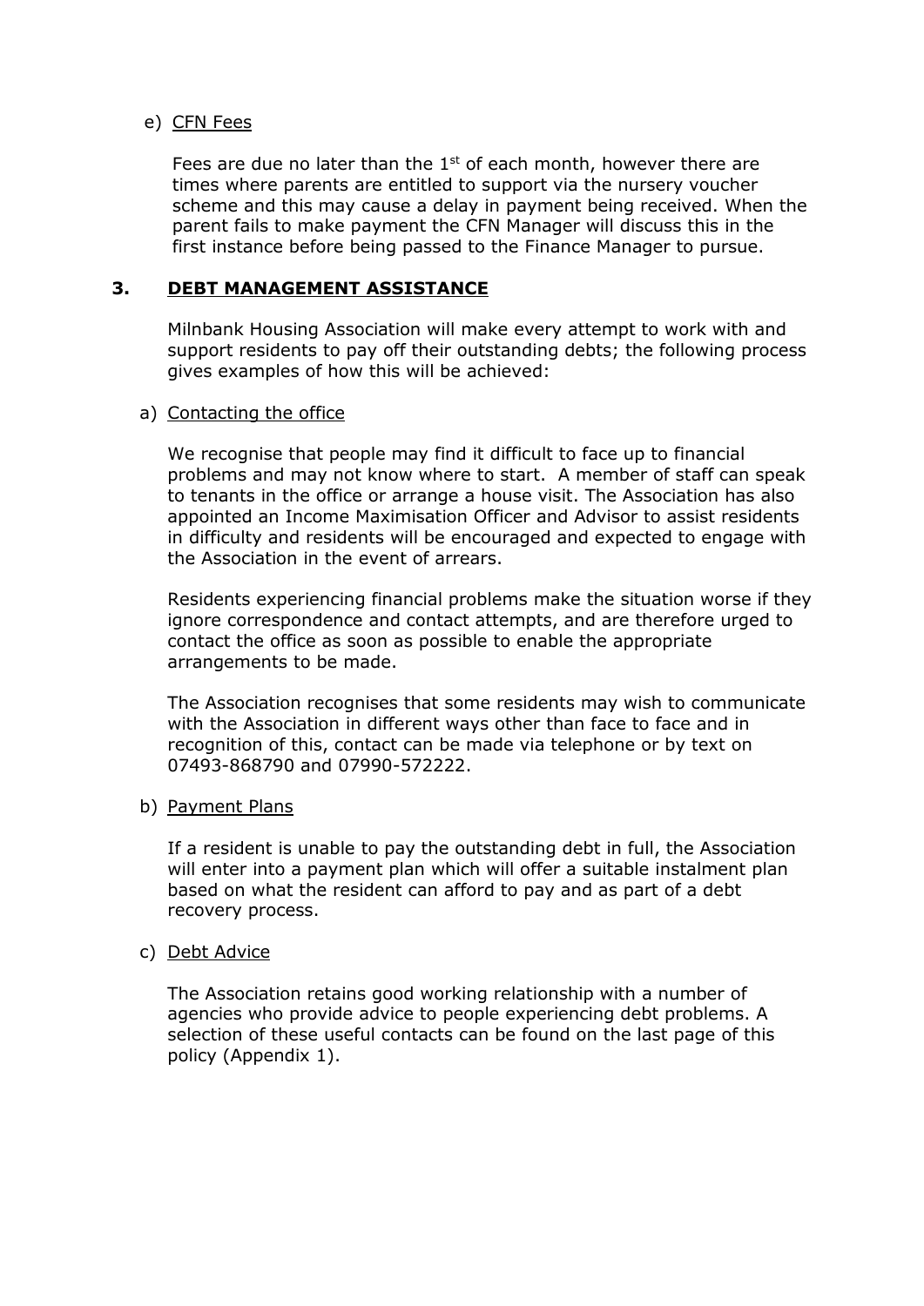## e) CFN Fees

Fees are due no later than the  $1<sup>st</sup>$  of each month, however there are times where parents are entitled to support via the nursery voucher scheme and this may cause a delay in payment being received. When the parent fails to make payment the CFN Manager will discuss this in the first instance before being passed to the Finance Manager to pursue.

# **3. DEBT MANAGEMENT ASSISTANCE**

Milnbank Housing Association will make every attempt to work with and support residents to pay off their outstanding debts; the following process gives examples of how this will be achieved:

#### a) Contacting the office

We recognise that people may find it difficult to face up to financial problems and may not know where to start. A member of staff can speak to tenants in the office or arrange a house visit. The Association has also appointed an Income Maximisation Officer and Advisor to assist residents in difficulty and residents will be encouraged and expected to engage with the Association in the event of arrears.

Residents experiencing financial problems make the situation worse if they ignore correspondence and contact attempts, and are therefore urged to contact the office as soon as possible to enable the appropriate arrangements to be made.

The Association recognises that some residents may wish to communicate with the Association in different ways other than face to face and in recognition of this, contact can be made via telephone or by text on 07493-868790 and 07990-572222.

#### b) Payment Plans

If a resident is unable to pay the outstanding debt in full, the Association will enter into a payment plan which will offer a suitable instalment plan based on what the resident can afford to pay and as part of a debt recovery process.

#### c) Debt Advice

The Association retains good working relationship with a number of agencies who provide advice to people experiencing debt problems. A selection of these useful contacts can be found on the last page of this policy (Appendix 1).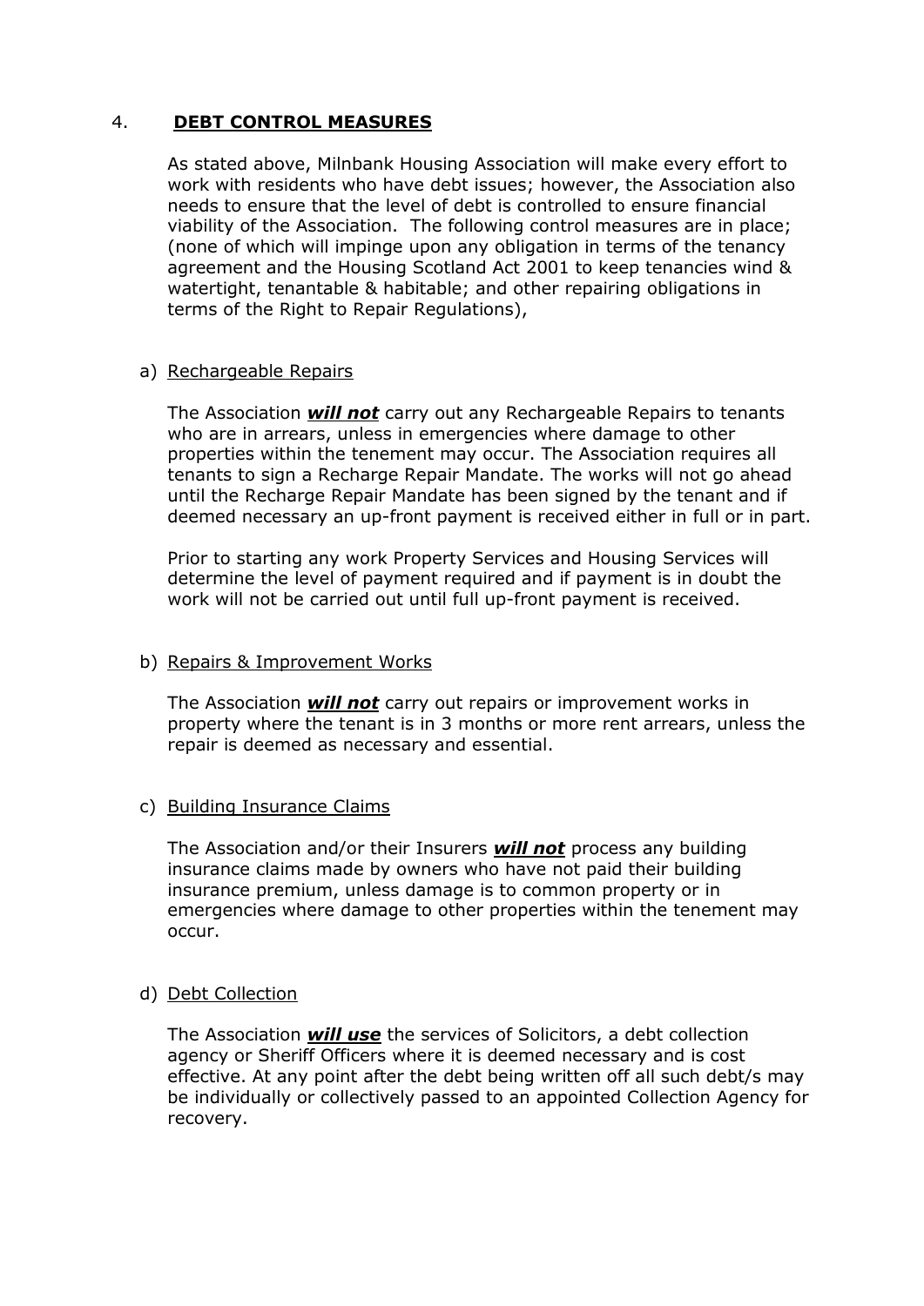## 4. **DEBT CONTROL MEASURES**

As stated above, Milnbank Housing Association will make every effort to work with residents who have debt issues; however, the Association also needs to ensure that the level of debt is controlled to ensure financial viability of the Association. The following control measures are in place; (none of which will impinge upon any obligation in terms of the tenancy agreement and the Housing Scotland Act 2001 to keep tenancies wind & watertight, tenantable & habitable; and other repairing obligations in terms of the Right to Repair Regulations),

#### a) Rechargeable Repairs

The Association *will not* carry out any Rechargeable Repairs to tenants who are in arrears, unless in emergencies where damage to other properties within the tenement may occur. The Association requires all tenants to sign a Recharge Repair Mandate. The works will not go ahead until the Recharge Repair Mandate has been signed by the tenant and if deemed necessary an up-front payment is received either in full or in part.

Prior to starting any work Property Services and Housing Services will determine the level of payment required and if payment is in doubt the work will not be carried out until full up-front payment is received.

## b) Repairs & Improvement Works

The Association *will not* carry out repairs or improvement works in property where the tenant is in 3 months or more rent arrears, unless the repair is deemed as necessary and essential.

#### c) Building Insurance Claims

The Association and/or their Insurers *will not* process any building insurance claims made by owners who have not paid their building insurance premium, unless damage is to common property or in emergencies where damage to other properties within the tenement may occur.

#### d) Debt Collection

The Association *will use* the services of Solicitors, a debt collection agency or Sheriff Officers where it is deemed necessary and is cost effective. At any point after the debt being written off all such debt/s may be individually or collectively passed to an appointed Collection Agency for recovery.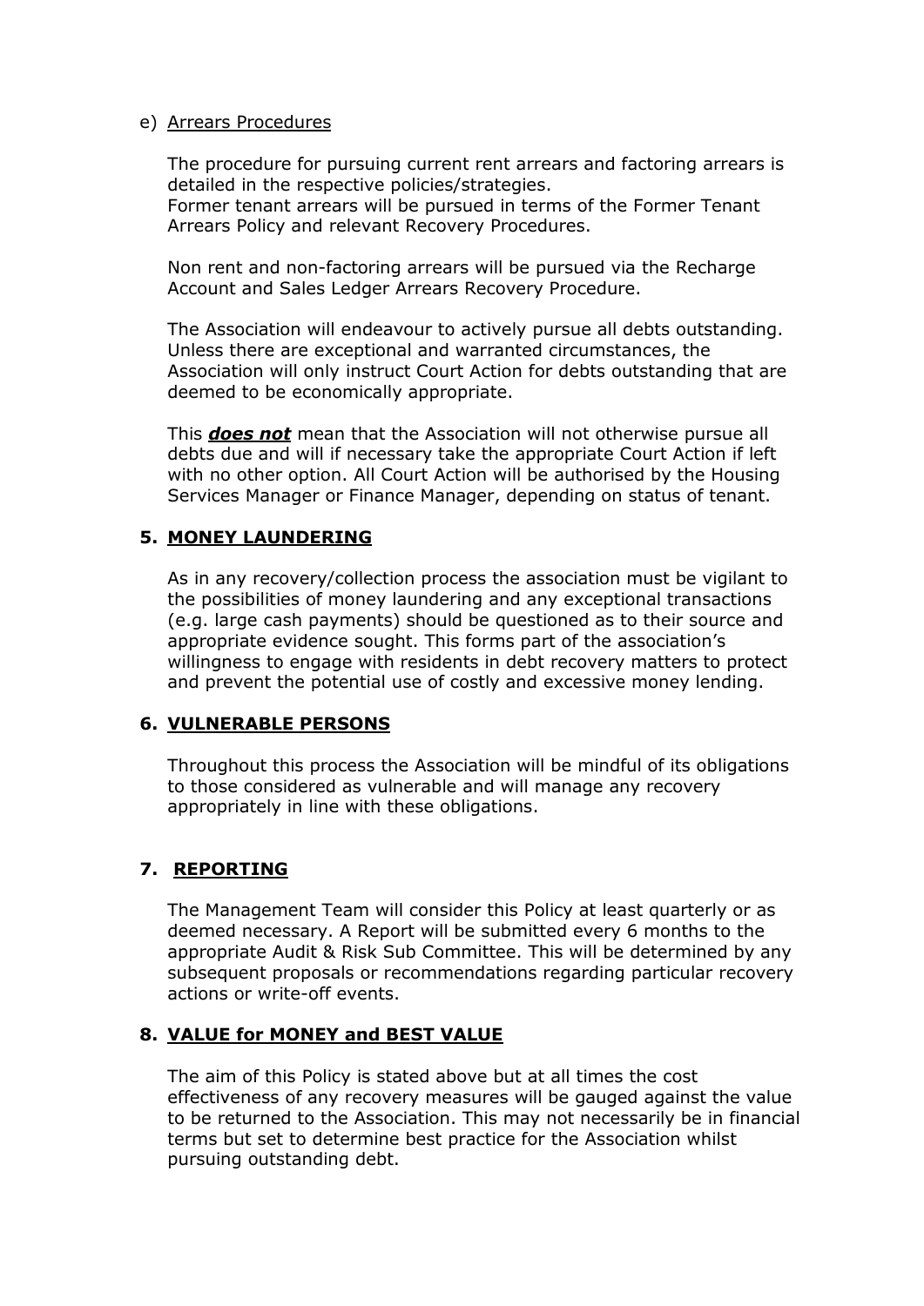#### e) Arrears Procedures

The procedure for pursuing current rent arrears and factoring arrears is detailed in the respective policies/strategies. Former tenant arrears will be pursued in terms of the Former Tenant Arrears Policy and relevant Recovery Procedures.

Non rent and non-factoring arrears will be pursued via the Recharge Account and Sales Ledger Arrears Recovery Procedure.

The Association will endeavour to actively pursue all debts outstanding. Unless there are exceptional and warranted circumstances, the Association will only instruct Court Action for debts outstanding that are deemed to be economically appropriate.

This *does not* mean that the Association will not otherwise pursue all debts due and will if necessary take the appropriate Court Action if left with no other option. All Court Action will be authorised by the Housing Services Manager or Finance Manager, depending on status of tenant.

# **5. MONEY LAUNDERING**

As in any recovery/collection process the association must be vigilant to the possibilities of money laundering and any exceptional transactions (e.g. large cash payments) should be questioned as to their source and appropriate evidence sought. This forms part of the association's willingness to engage with residents in debt recovery matters to protect and prevent the potential use of costly and excessive money lending.

# **6. VULNERABLE PERSONS**

Throughout this process the Association will be mindful of its obligations to those considered as vulnerable and will manage any recovery appropriately in line with these obligations.

# **7. REPORTING**

The Management Team will consider this Policy at least quarterly or as deemed necessary. A Report will be submitted every 6 months to the appropriate Audit & Risk Sub Committee. This will be determined by any subsequent proposals or recommendations regarding particular recovery actions or write-off events.

# **8. VALUE for MONEY and BEST VALUE**

The aim of this Policy is stated above but at all times the cost effectiveness of any recovery measures will be gauged against the value to be returned to the Association. This may not necessarily be in financial terms but set to determine best practice for the Association whilst pursuing outstanding debt.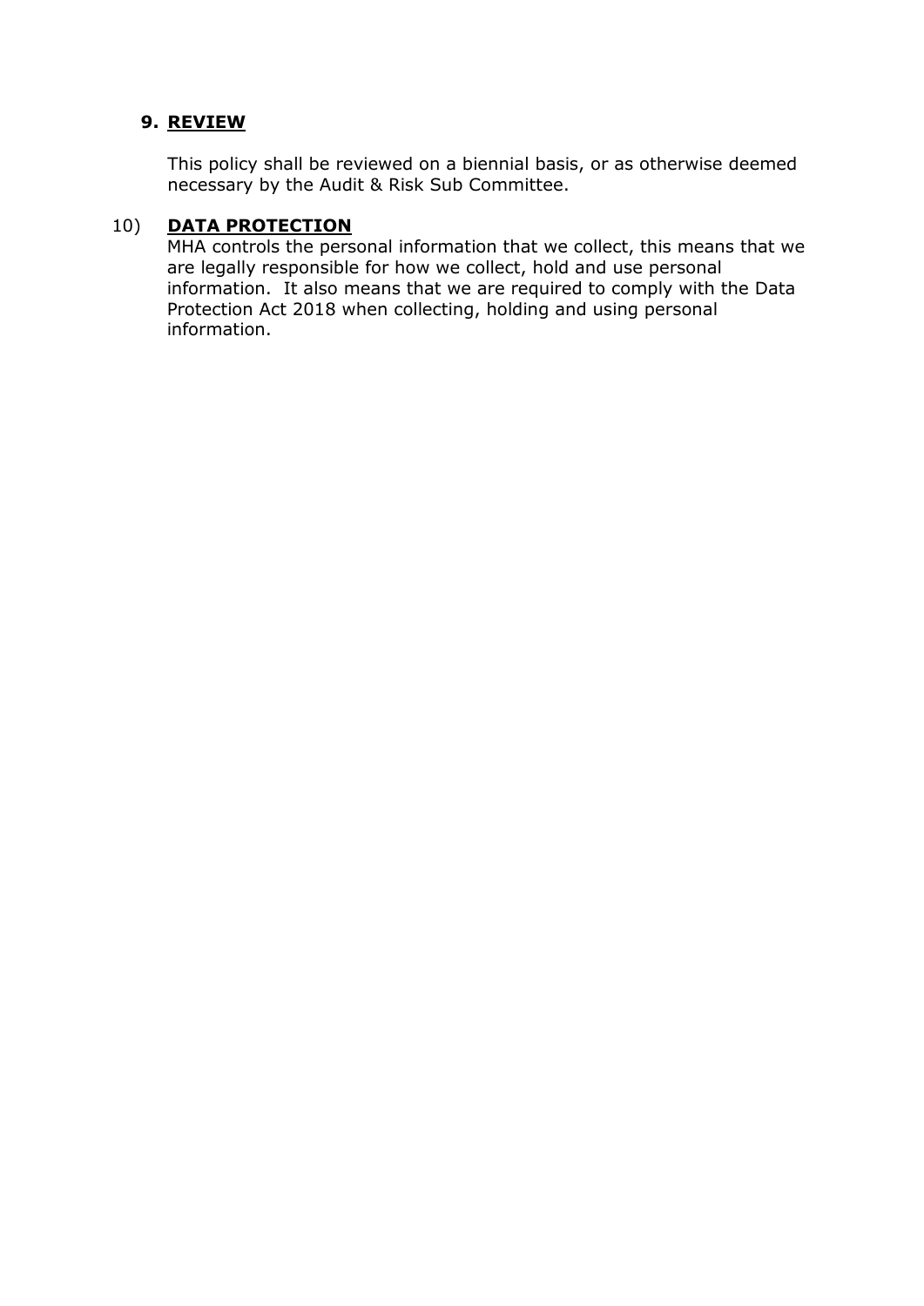# **9. REVIEW**

This policy shall be reviewed on a biennial basis, or as otherwise deemed necessary by the Audit & Risk Sub Committee.

# 10) **DATA PROTECTION**

MHA controls the personal information that we collect, this means that we are legally responsible for how we collect, hold and use personal information. It also means that we are required to comply with the Data Protection Act 2018 when collecting, holding and using personal information.